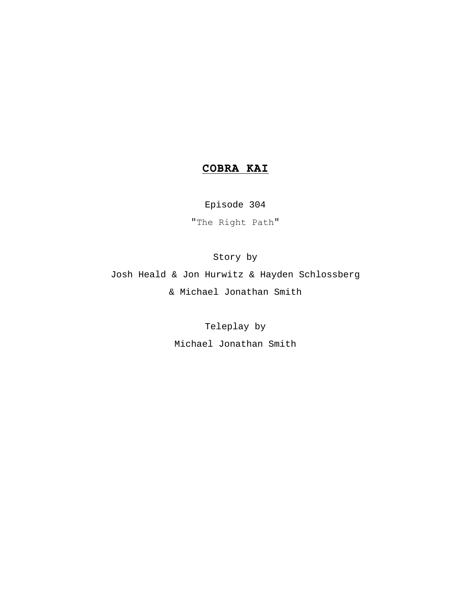# **COBRA KAI**

Episode 304 "The Right Path"

Story by

Josh Heald & Jon Hurwitz & Hayden Schlossberg & Michael Jonathan Smith

Teleplay by

Michael Jonathan Smith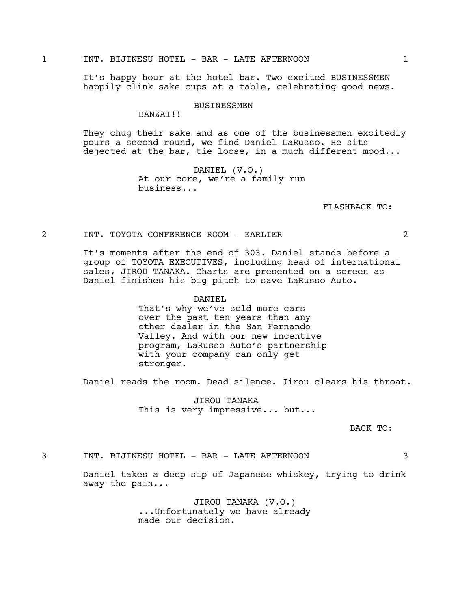## 1 INT. BIJINESU HOTEL - BAR - LATE AFTERNOON 1

It's happy hour at the hotel bar. Two excited BUSINESSMEN happily clink sake cups at a table, celebrating good news.

### BUSINESSMEN

BANZAI!!

They chug their sake and as one of the businessmen excitedly pours a second round, we find Daniel LaRusso. He sits dejected at the bar, tie loose, in a much different mood...

> DANIEL (V.O.) At our core, we're a family run business...

> > FLASHBACK TO:

# 2 INT. TOYOTA CONFERENCE ROOM - EARLIER 2

It's moments after the end of 303. Daniel stands before a group of TOYOTA EXECUTIVES, including head of international sales, JIROU TANAKA. Charts are presented on a screen as Daniel finishes his big pitch to save LaRusso Auto.

#### DANIEL

That's why we've sold more cars over the past ten years than any other dealer in the San Fernando Valley. And with our new incentive program, LaRusso Auto's partnership with your company can only get stronger.

Daniel reads the room. Dead silence. Jirou clears his throat.

JIROU TANAKA This is very impressive... but...

BACK TO:

3 INT. BIJINESU HOTEL - BAR - LATE AFTERNOON 3

Daniel takes a deep sip of Japanese whiskey, trying to drink away the pain...

> JIROU TANAKA (V.O.) ...Unfortunately we have already made our decision.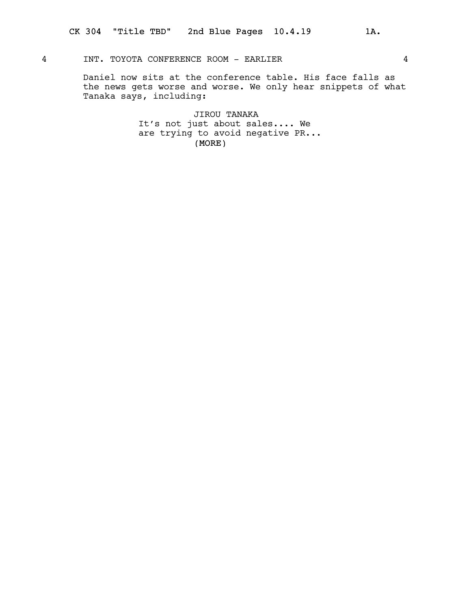# 4 INT. TOYOTA CONFERENCE ROOM - EARLIER 4

Daniel now sits at the conference table. His face falls as the news gets worse and worse. We only hear snippets of what Tanaka says, including:

> (MORE) JIROU TANAKA It's not just about sales.... We are trying to avoid negative PR...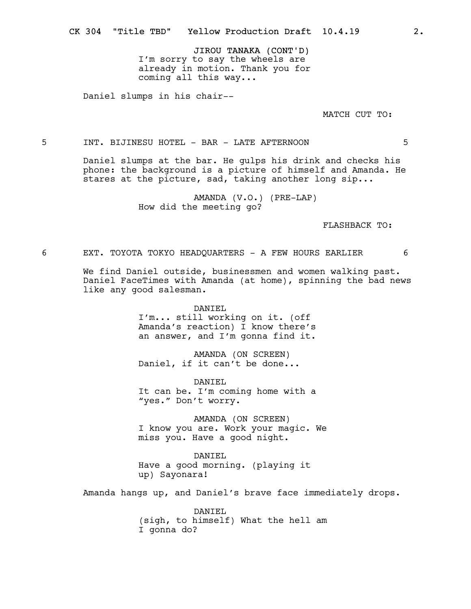JIROU TANAKA (CONT'D) I'm sorry to say the wheels are already in motion. Thank you for coming all this way...

Daniel slumps in his chair--

MATCH CUT TO:

5 INT. BIJINESU HOTEL - BAR - LATE AFTERNOON 5

Daniel slumps at the bar. He gulps his drink and checks his phone: the background is a picture of himself and Amanda. He stares at the picture, sad, taking another long sip...

> AMANDA (V.O.) (PRE-LAP) How did the meeting go?

> > FLASHBACK TO:

6 EXT. TOYOTA TOKYO HEADQUARTERS - A FEW HOURS EARLIER 6

We find Daniel outside, businessmen and women walking past. Daniel FaceTimes with Amanda (at home), spinning the bad news like any good salesman.

DANIEL

I'm... still working on it. (off Amanda's reaction) I know there's an answer, and I'm gonna find it.

AMANDA (ON SCREEN) Daniel, if it can't be done...

DANIEL It can be. I'm coming home with a "yes." Don't worry.

AMANDA (ON SCREEN) I know you are. Work your magic. We miss you. Have a good night.

DANIEL Have a good morning. (playing it up) Sayonara!

Amanda hangs up, and Daniel's brave face immediately drops.

DANIEL (sigh, to himself) What the hell am I gonna do?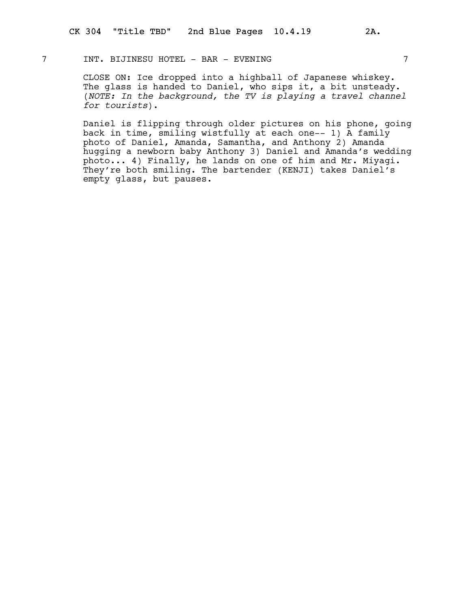# 7 INT. BIJINESU HOTEL - BAR - EVENING 7

CLOSE ON: Ice dropped into a highball of Japanese whiskey. The glass is handed to Daniel, who sips it, a bit unsteady. (NOTE: In the background, the TV is playing a travel channel for tourists).

Daniel is flipping through older pictures on his phone, going back in time, smiling wistfully at each one-- 1) A family photo of Daniel, Amanda, Samantha, and Anthony 2) Amanda hugging a newborn baby Anthony 3) Daniel and Amanda's wedding photo... 4) Finally, he lands on one of him and Mr. Miyagi. They're both smiling. The bartender (KENJI) takes Daniel's empty glass, but pauses.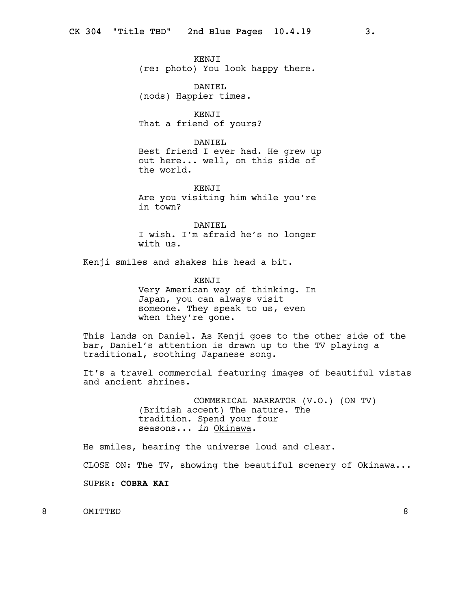KENJI (re: photo) You look happy there.

DANIEL (nods) Happier times.

KENJI That a friend of yours?

DANIEL Best friend I ever had. He grew up out here... well, on this side of the world.

KENJI Are you visiting him while you're in town?

DANIEL I wish. I'm afraid he's no longer with us.

Kenji smiles and shakes his head a bit.

KENJI Very American way of thinking. In Japan, you can always visit someone. They speak to us, even when they're gone.

This lands on Daniel. As Kenji goes to the other side of the bar, Daniel's attention is drawn up to the TV playing a traditional, soothing Japanese song.

It's a travel commercial featuring images of beautiful vistas and ancient shrines.

> COMMERICAL NARRATOR (V.O.) (ON TV) (British accent) The nature. The tradition. Spend your four seasons... in Okinawa.

He smiles, hearing the universe loud and clear.

CLOSE ON: The TV, showing the beautiful scenery of Okinawa...

SUPER: COBRA KAI

8 OMITTED 8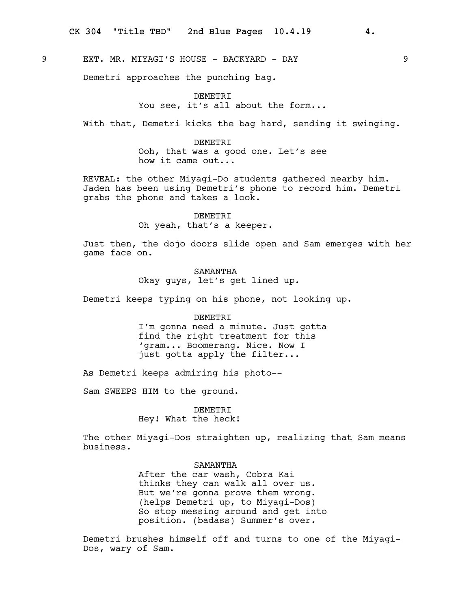9 EXT. MR. MIYAGI'S HOUSE - BACKYARD - DAY 9

Demetri approaches the punching bag.

# DEMETRI You see, it's all about the form...

With that, Demetri kicks the bag hard, sending it swinging.

DEMETRI Ooh, that was a good one. Let's see how it came out...

REVEAL: the other Miyagi-Do students gathered nearby him. Jaden has been using Demetri's phone to record him. Demetri grabs the phone and takes a look.

> DEMETRI Oh yeah, that's a keeper.

Just then, the dojo doors slide open and Sam emerges with her game face on.

> SAMANTHA Okay guys, let's get lined up.

Demetri keeps typing on his phone, not looking up.

## DEMETRI

I'm gonna need a minute. Just gotta find the right treatment for this 'gram... Boomerang. Nice. Now I just gotta apply the filter...

As Demetri keeps admiring his photo--

Sam SWEEPS HIM to the ground.

DEMETRI Hey! What the heck!

The other Miyagi-Dos straighten up, realizing that Sam means business.

## SAMANTHA

After the car wash, Cobra Kai thinks they can walk all over us. But we're gonna prove them wrong. (helps Demetri up, to Miyagi-Dos) So stop messing around and get into position. (badass) Summer's over.

Demetri brushes himself off and turns to one of the Miyagi-Dos, wary of Sam.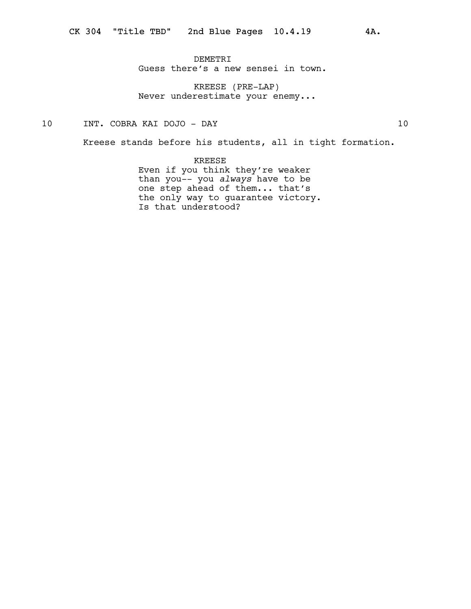DEMETRI Guess there's a new sensei in town.

KREESE (PRE-LAP) Never underestimate your enemy...

10 INT. COBRA KAI DOJO - DAY 10

Kreese stands before his students, all in tight formation.

KREESE Even if you think they're weaker than you-- you always have to be one step ahead of them... that's the only way to guarantee victory. Is that understood?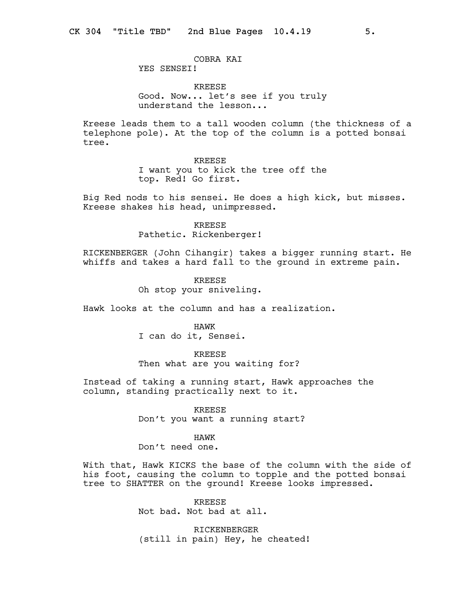## COBRA KAI YES SENSEI!

KREESE Good. Now... let's see if you truly understand the lesson...

Kreese leads them to a tall wooden column (the thickness of a telephone pole). At the top of the column is a potted bonsai tree.

> KREESE I want you to kick the tree off the top. Red! Go first.

Big Red nods to his sensei. He does a high kick, but misses. Kreese shakes his head, unimpressed.

> KREESE Pathetic. Rickenberger!

RICKENBERGER (John Cihangir) takes a bigger running start. He whiffs and takes a hard fall to the ground in extreme pain.

> KREESE Oh stop your sniveling.

Hawk looks at the column and has a realization.

HAWK I can do it, Sensei.

KREESE Then what are you waiting for?

Instead of taking a running start, Hawk approaches the column, standing practically next to it.

> KREESE Don't you want a running start?

> > HAWK

Don't need one.

With that, Hawk KICKS the base of the column with the side of his foot, causing the column to topple and the potted bonsai tree to SHATTER on the ground! Kreese looks impressed.

> KREESE Not bad. Not bad at all.

RICKENBERGER (still in pain) Hey, he cheated!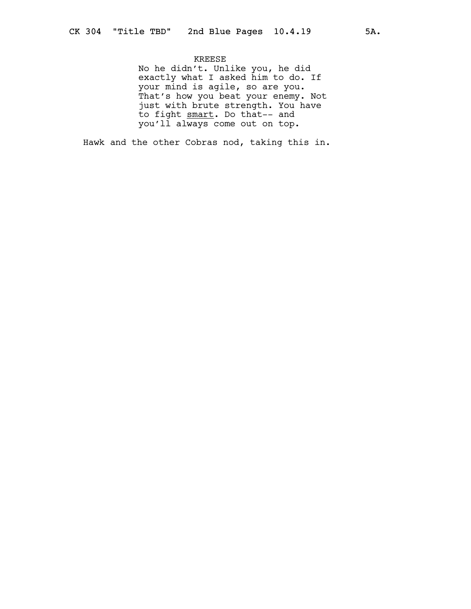# KREESE

No he didn't. Unlike you, he did exactly what I asked him to do. If your mind is agile, so are you. That's how you beat your enemy. Not just with brute strength. You have to fight smart. Do that-- and you'll always come out on top.

Hawk and the other Cobras nod, taking this in.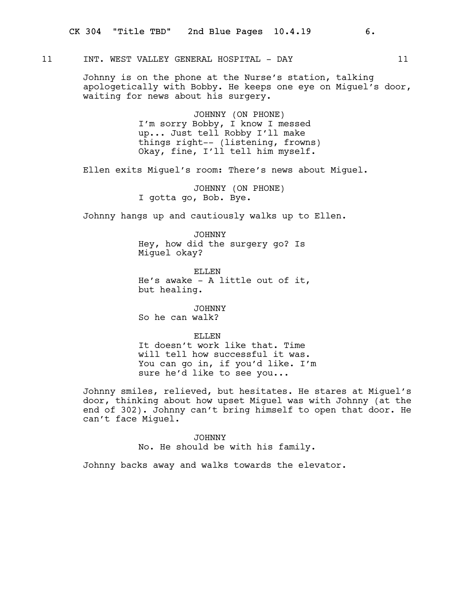# 11 INT. WEST VALLEY GENERAL HOSPITAL - DAY 11

Johnny is on the phone at the Nurse's station, talking apologetically with Bobby. He keeps one eye on Miguel's door, waiting for news about his surgery.

> JOHNNY (ON PHONE) I'm sorry Bobby, I know I messed up... Just tell Robby I'll make things right-- (listening, frowns) Okay, fine, I'll tell him myself.

Ellen exits Miguel's room: There's news about Miguel.

JOHNNY (ON PHONE) I gotta go, Bob. Bye.

Johnny hangs up and cautiously walks up to Ellen.

JOHNNY Hey, how did the surgery go? Is Miguel okay?

ELLEN He's awake - A little out of it, but healing.

JOHNNY So he can walk?

#### ELLEN.

It doesn't work like that. Time will tell how successful it was. You can go in, if you'd like. I'm sure he'd like to see you...

Johnny smiles, relieved, but hesitates. He stares at Miguel's door, thinking about how upset Miguel was with Johnny (at the end of 302). Johnny can't bring himself to open that door. He can't face Miguel.

> JOHNNY No. He should be with his family.

Johnny backs away and walks towards the elevator.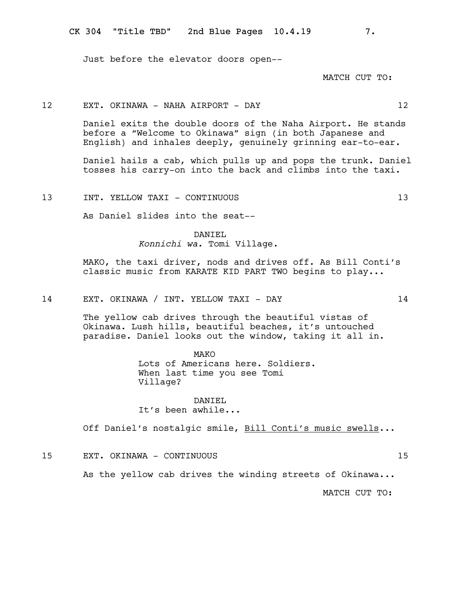Just before the elevator doors open--

MATCH CUT TO:

12 EXT. OKINAWA - NAHA AIRPORT - DAY 12

Daniel exits the double doors of the Naha Airport. He stands before a "Welcome to Okinawa" sign (in both Japanese and English) and inhales deeply, genuinely grinning ear-to-ear.

Daniel hails a cab, which pulls up and pops the trunk. Daniel tosses his carry-on into the back and climbs into the taxi.

13 INT. YELLOW TAXI - CONTINUOUS 13

As Daniel slides into the seat--

# DANIEL Konnichi wa. Tomi Village.

MAKO, the taxi driver, nods and drives off. As Bill Conti's classic music from KARATE KID PART TWO begins to play...

14 EXT. OKINAWA / INT. YELLOW TAXI - DAY 14

The yellow cab drives through the beautiful vistas of Okinawa. Lush hills, beautiful beaches, it's untouched paradise. Daniel looks out the window, taking it all in.

> MAKO Lots of Americans here. Soldiers. When last time you see Tomi Village?

## DANTEL. It's been awhile...

Off Daniel's nostalgic smile, Bill Conti's music swells...

15 EXT. OKINAWA - CONTINUOUS 15

As the yellow cab drives the winding streets of Okinawa...

MATCH CUT TO: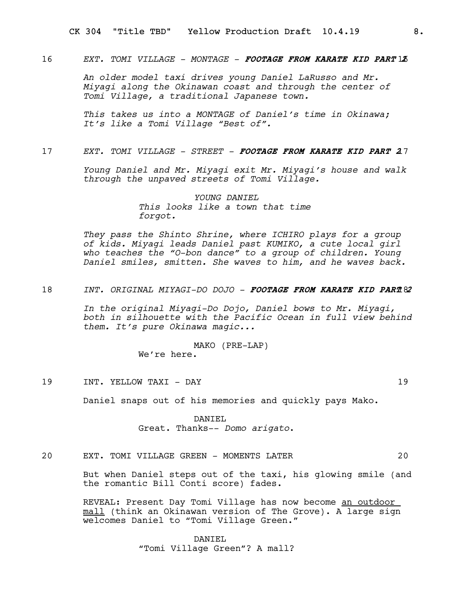# 16 EXT. TOMI VILLAGE - MONTAGE - FOOTAGE FROM KARATE KID PART 13

An older model taxi drives young Daniel LaRusso and Mr. Miyagi along the Okinawan coast and through the center of Tomi Village, a traditional Japanese town.

This takes us into a MONTAGE of Daniel's time in Okinawa; It's like a Tomi Village "Best of".

#### 17 EXT. TOMI VILLAGE - STREET - FOOTAGE FROM KARATE KID PART 27

Young Daniel and Mr. Miyagi exit Mr. Miyagi's house and walk through the unpaved streets of Tomi Village.

> YOUNG DANTEL This looks like a town that time forgot.

They pass the Shinto Shrine, where ICHIRO plays for a group of kids. Miyagi leads Daniel past KUMIKO, a cute local girl who teaches the "O-bon dance" to a group of children. Young Daniel smiles, smitten. She waves to him, and he waves back.

# 18 INT. ORIGINAL MIYAGI-DO DOJO - FOOTAGE FROM KARATE KID PART 82

In the original Miyagi-Do Dojo, Daniel bows to Mr. Miyagi, both in silhouette with the Pacific Ocean in full view behind them. It's pure Okinawa magic...

> MAKO (PRE-LAP) We're here.

19 INT. YELLOW TAXI - DAY 19

Daniel snaps out of his memories and quickly pays Mako.

DANIEL Great. Thanks-- Domo arigato.

# 20 EXT. TOMI VILLAGE GREEN - MOMENTS LATER 20

But when Daniel steps out of the taxi, his glowing smile (and the romantic Bill Conti score) fades.

REVEAL: Present Day Tomi Village has now become an outdoor mall (think an Okinawan version of The Grove). A large sign welcomes Daniel to "Tomi Village Green."

> DANTEL. "Tomi Village Green"? A mall?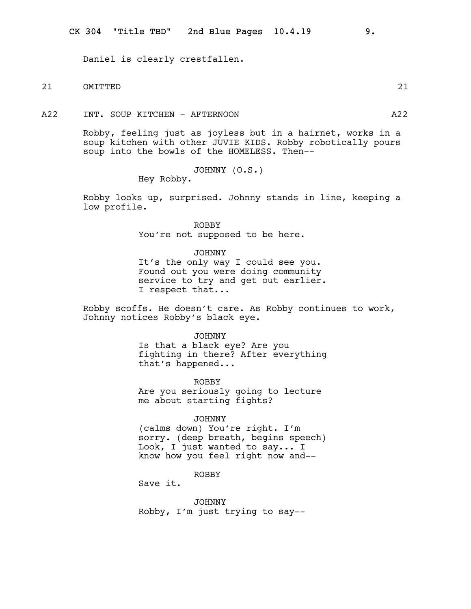Daniel is clearly crestfallen.

# 21 OMITTED 21

A22 INT. SOUP KITCHEN - AFTERNOON A22

Robby, feeling just as joyless but in a hairnet, works in a soup kitchen with other JUVIE KIDS. Robby robotically pours soup into the bowls of the HOMELESS. Then--

JOHNNY (O.S.)

Hey Robby.

Robby looks up, surprised. Johnny stands in line, keeping a low profile.

> ROBBY You're not supposed to be here.

> > JOHNNY

It's the only way I could see you. Found out you were doing community service to try and get out earlier. I respect that...

Robby scoffs. He doesn't care. As Robby continues to work, Johnny notices Robby's black eye.

> JOHNNY Is that a black eye? Are you fighting in there? After everything that's happened...

ROBBY Are you seriously going to lecture me about starting fights?

JOHNNY

(calms down) You're right. I'm sorry. (deep breath, begins speech) Look, I just wanted to say... I know how you feel right now and--

ROBBY

Save it.

JOHNNY Robby, I'm just trying to say--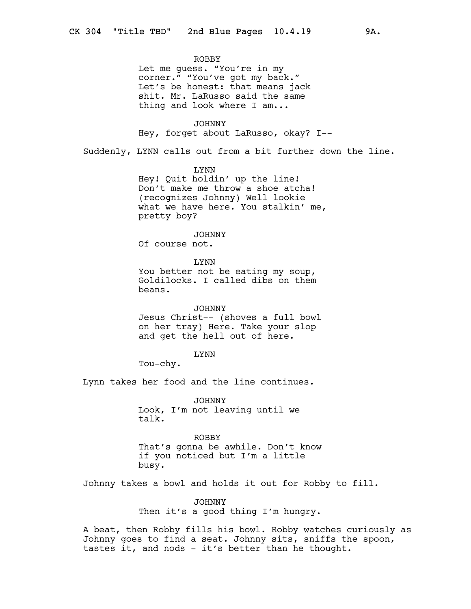#### ROBBY

Let me guess. "You're in my corner." "You've got my back." Let's be honest: that means jack shit. Mr. LaRusso said the same thing and look where I am...

JOHNNY

Hey, forget about LaRusso, okay? I--

Suddenly, LYNN calls out from a bit further down the line.

# LYNN

Hey! Quit holdin' up the line! Don't make me throw a shoe atcha! (recognizes Johnny) Well lookie what we have here. You stalkin' me, pretty boy?

# JOHNNY

Of course not.

LYNN You better not be eating my soup, Goldilocks. I called dibs on them beans.

# JOHNNY Jesus Christ-- (shoves a full bowl on her tray) Here. Take your slop

and get the hell out of here.

## LYNN

Tou-chy.

Lynn takes her food and the line continues.

JOHNNY Look, I'm not leaving until we talk.

# ROBBY

That's gonna be awhile. Don't know if you noticed but I'm a little busy.

Johnny takes a bowl and holds it out for Robby to fill.

JOHNNY Then it's a good thing I'm hungry.

A beat, then Robby fills his bowl. Robby watches curiously as Johnny goes to find a seat. Johnny sits, sniffs the spoon, tastes it, and nods - it's better than he thought.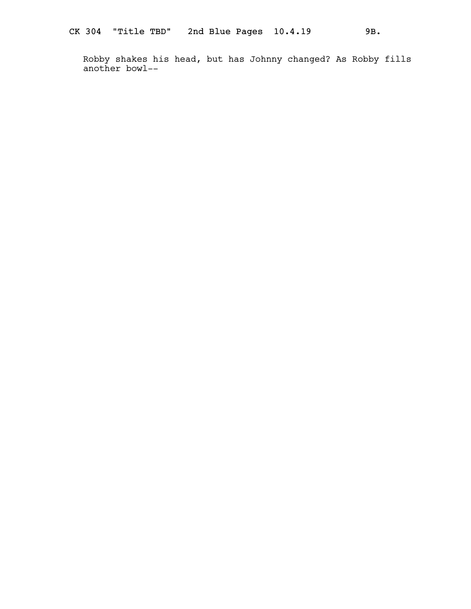Robby shakes his head, but has Johnny changed? As Robby fills another bowl--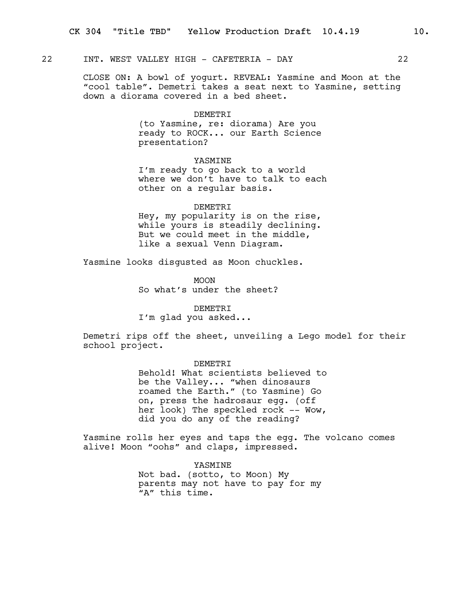# 22 INT. WEST VALLEY HIGH - CAFETERIA - DAY 22

CLOSE ON: A bowl of yogurt. REVEAL: Yasmine and Moon at the "cool table". Demetri takes a seat next to Yasmine, setting down a diorama covered in a bed sheet.

#### DEMETRI

(to Yasmine, re: diorama) Are you ready to ROCK... our Earth Science presentation?

## YASMINE

I'm ready to go back to a world where we don't have to talk to each other on a regular basis.

#### DEMETRI

Hey, my popularity is on the rise, while yours is steadily declining. But we could meet in the middle, like a sexual Venn Diagram.

Yasmine looks disgusted as Moon chuckles.

MOON So what's under the sheet?

#### DEMETRI

I'm glad you asked...

Demetri rips off the sheet, unveiling a Lego model for their school project.

## DEMETRI

Behold! What scientists believed to be the Valley... "when dinosaurs roamed the Earth." (to Yasmine) Go on, press the hadrosaur egg. (off her look) The speckled rock -- Wow, did you do any of the reading?

Yasmine rolls her eyes and taps the egg. The volcano comes alive! Moon "oohs" and claps, impressed.

## YASMINE

Not bad. (sotto, to Moon) My parents may not have to pay for my "A" this time.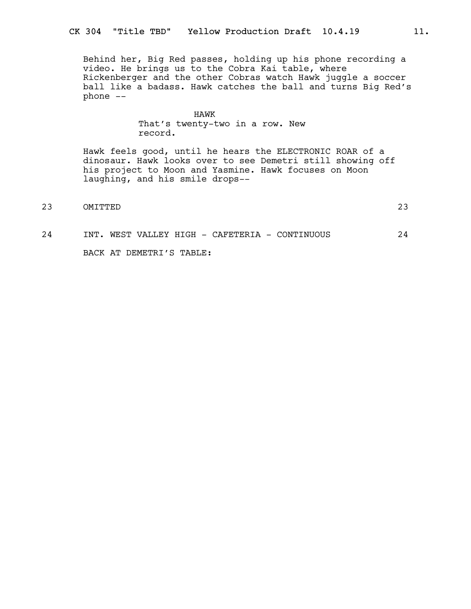Behind her, Big Red passes, holding up his phone recording a video. He brings us to the Cobra Kai table, where Rickenberger and the other Cobras watch Hawk juggle a soccer ball like a badass. Hawk catches the ball and turns Big Red's phone --

## HAWK

That's twenty-two in a row. New record.

Hawk feels good, until he hears the ELECTRONIC ROAR of a dinosaur. Hawk looks over to see Demetri still showing off his project to Moon and Yasmine. Hawk focuses on Moon laughing, and his smile drops--

23 OMITTED 23

# 24 INT. WEST VALLEY HIGH - CAFETERIA - CONTINUOUS 24 BACK AT DEMETRI'S TABLE: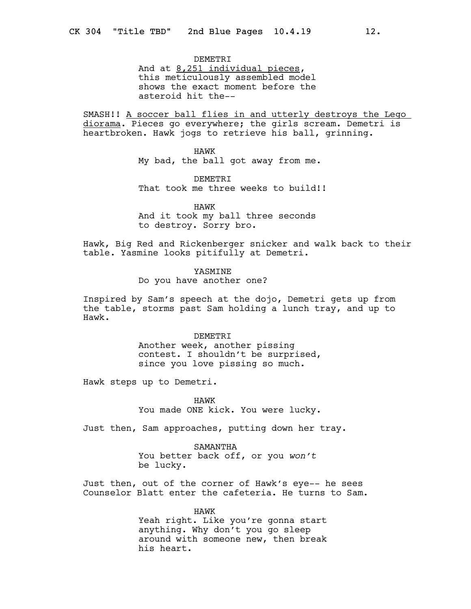DEMETRI

And at 8,251 individual pieces, this meticulously assembled model shows the exact moment before the asteroid hit the--

SMASH!! A soccer ball flies in and utterly destroys the Lego diorama. Pieces go everywhere; the girls scream. Demetri is heartbroken. Hawk jogs to retrieve his ball, grinning.

> HAWK My bad, the ball got away from me.

DEMETRI That took me three weeks to build!!

HAWK And it took my ball three seconds to destroy. Sorry bro.

Hawk, Big Red and Rickenberger snicker and walk back to their table. Yasmine looks pitifully at Demetri.

YASMINE

Do you have another one?

Inspired by Sam's speech at the dojo, Demetri gets up from the table, storms past Sam holding a lunch tray, and up to Hawk.

DEMETRI

Another week, another pissing contest. I shouldn't be surprised, since you love pissing so much.

Hawk steps up to Demetri.

HAWK You made ONE kick. You were lucky.

Just then, Sam approaches, putting down her tray.

SAMANTHA You better back off, or you won't be lucky.

Just then, out of the corner of Hawk's eye-- he sees Counselor Blatt enter the cafeteria. He turns to Sam.

> HAWK Yeah right. Like you're gonna start anything. Why don't you go sleep around with someone new, then break his heart.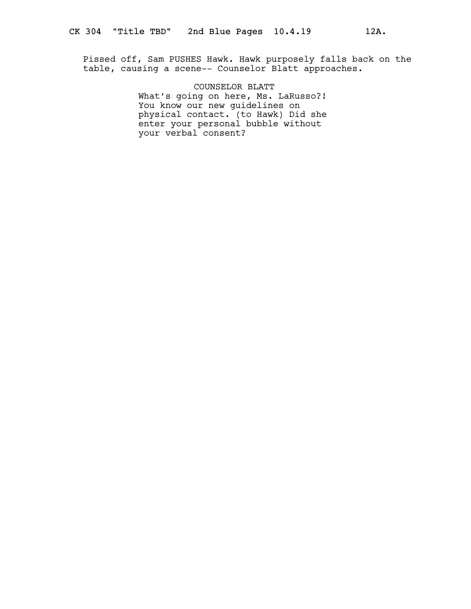Pissed off, Sam PUSHES Hawk. Hawk purposely falls back on the table, causing a scene-- Counselor Blatt approaches.

> COUNSELOR BLATT What's going on here, Ms. LaRusso?! You know our new guidelines on physical contact. (to Hawk) Did she enter your personal bubble without your verbal consent?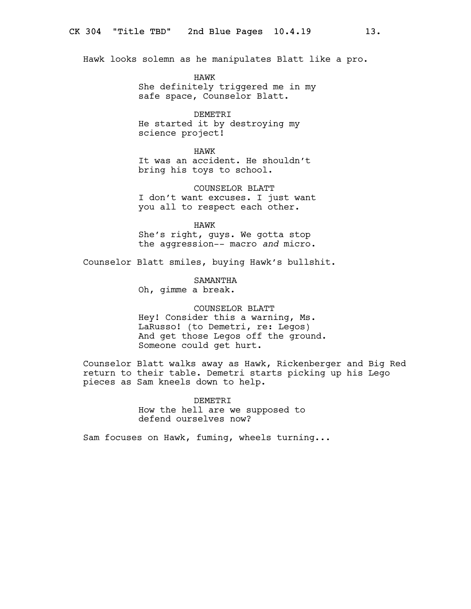Hawk looks solemn as he manipulates Blatt like a pro.

HAWK She definitely triggered me in my safe space, Counselor Blatt.

DEMETRI He started it by destroying my science project!

#### HAWK

It was an accident. He shouldn't bring his toys to school.

COUNSELOR BLATT I don't want excuses. I just want you all to respect each other.

HAWK

She's right, guys. We gotta stop the aggression-- macro and micro.

Counselor Blatt smiles, buying Hawk's bullshit.

SAMANTHA Oh, gimme a break.

# COUNSELOR BLATT Hey! Consider this a warning, Ms. LaRusso! (to Demetri, re: Legos) And get those Legos off the ground. Someone could get hurt.

Counselor Blatt walks away as Hawk, Rickenberger and Big Red return to their table. Demetri starts picking up his Lego pieces as Sam kneels down to help.

> DEMETRI How the hell are we supposed to defend ourselves now?

Sam focuses on Hawk, fuming, wheels turning...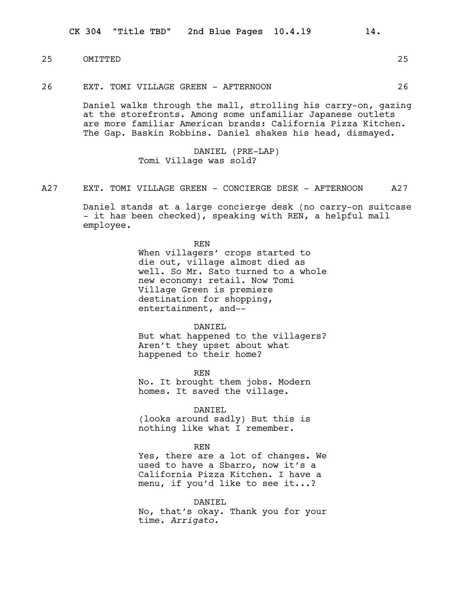$CK$  304 "Title TBD" 2nd Blue Pages  $10.4.19$  14.

25 OMITTED 25

26 EXT. TOMI VILLAGE GREEN - AFTERNOON 26

Daniel walks through the mall, strolling his carry-on, gazing at the storefronts. Among some unfamiliar Japanese outlets are more familiar American brands: California Pizza Kitchen. The Gap. Baskin Robbins. Daniel shakes his head, dismayed.

> DANIEL (PRE-LAP) Tomi Village was sold?

A27 EXT. TOMI VILLAGE GREEN - CONCIERGE DESK - AFTERNOON A27

Daniel stands at a large concierge desk (no carry-on suitcase - it has been checked), speaking with REN, a helpful mall employee.

> REN When villagers' crops started to die out, village almost died as well. So Mr. Sato turned to a whole new economy: retail. Now Tomi Village Green is premiere destination for shopping, entertainment, and--

## DANIEL

But what happened to the villagers? Aren't they upset about what happened to their home?

REN No. It brought them jobs. Modern homes. It saved the village.

DANIEL (looks around sadly) But this is nothing like what I remember.

#### REN

Yes, there are a lot of changes. We used to have a Sbarro, now it's a California Pizza Kitchen. I have a menu, if you'd like to see it...?

DANIEL

No, that's okay. Thank you for your time. Arrigato.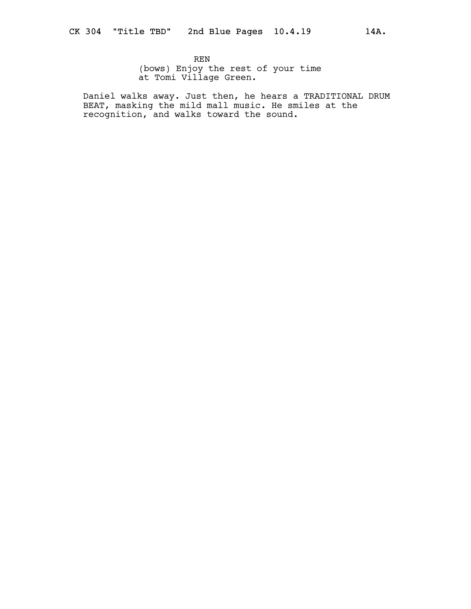REN (bows) Enjoy the rest of your time at Tomi Village Green.

Daniel walks away. Just then, he hears a TRADITIONAL DRUM BEAT, masking the mild mall music. He smiles at the recognition, and walks toward the sound.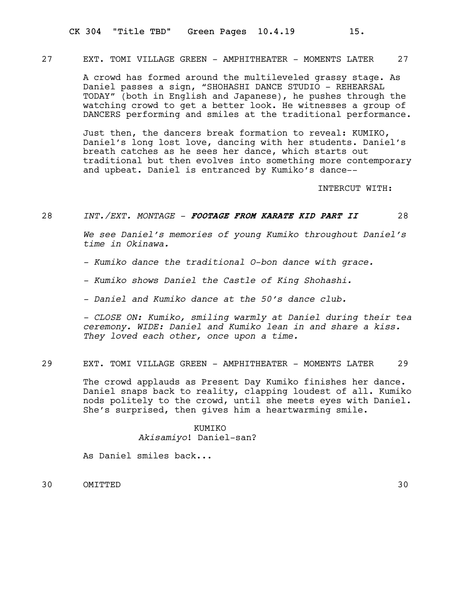# 27 EXT. TOMI VILLAGE GREEN - AMPHITHEATER - MOMENTS LATER 27

A crowd has formed around the multileveled grassy stage. As Daniel passes a sign, "SHOHASHI DANCE STUDIO - REHEARSAL TODAY" (both in English and Japanese), he pushes through the watching crowd to get a better look. He witnesses a group of DANCERS performing and smiles at the traditional performance.

Just then, the dancers break formation to reveal: KUMIKO, Daniel's long lost love, dancing with her students. Daniel's breath catches as he sees her dance, which starts out traditional but then evolves into something more contemporary and upbeat. Daniel is entranced by Kumiko's dance--

INTERCUT WITH:

## 28 INT./EXT. MONTAGE - FOOTAGE FROM KARATE KID PART II 28

We see Daniel's memories of young Kumiko throughout Daniel's time in Okinawa.

- Kumiko dance the traditional O-bon dance with grace.
- Kumiko shows Daniel the Castle of King Shohashi.
- Daniel and Kumiko dance at the 50's dance club.

- CLOSE ON: Kumiko, smiling warmly at Daniel during their tea ceremony. WIDE: Daniel and Kumiko lean in and share a kiss. They loved each other, once upon a time.

# 29 EXT. TOMI VILLAGE GREEN - AMPHITHEATER - MOMENTS LATER 29

The crowd applauds as Present Day Kumiko finishes her dance. Daniel snaps back to reality, clapping loudest of all. Kumiko nods politely to the crowd, until she meets eyes with Daniel. She's surprised, then gives him a heartwarming smile.

# KUMIKO Akisamiyo! Daniel-san?

As Daniel smiles back...

30 OMITTED 30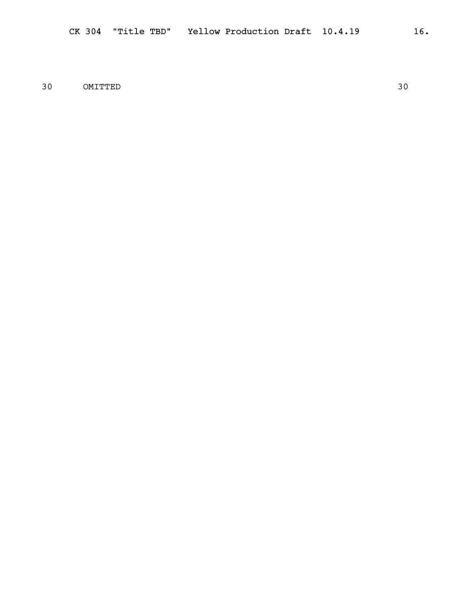30 OMITTED 30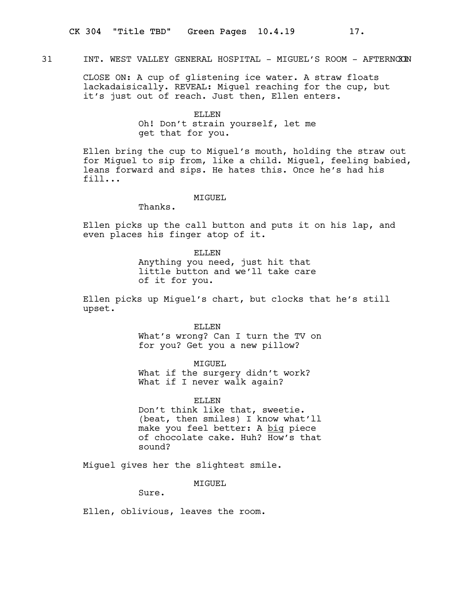# 31 INT. WEST VALLEY GENERAL HOSPITAL - MIGUEL'S ROOM - AFTERNOON 31

CLOSE ON: A cup of glistening ice water. A straw floats lackadaisically. REVEAL: Miguel reaching for the cup, but it's just out of reach. Just then, Ellen enters.

## ELLEN

Oh! Don't strain yourself, let me get that for you.

Ellen bring the cup to Miguel's mouth, holding the straw out for Miguel to sip from, like a child. Miguel, feeling babied, leans forward and sips. He hates this. Once he's had his fill...

## MTGUEL.

Thanks.

Ellen picks up the call button and puts it on his lap, and even places his finger atop of it.

ELLEN

Anything you need, just hit that little button and we'll take care of it for you.

Ellen picks up Miguel's chart, but clocks that he's still upset.

> ELLEN What's wrong? Can I turn the TV on for you? Get you a new pillow?

> > MIGUEL

What if the surgery didn't work? What if I never walk again?

ELLEN. Don't think like that, sweetie. (beat, then smiles) I know what'll make you feel better: A big piece of chocolate cake. Huh? How's that sound?

Miguel gives her the slightest smile.

MIGUEL

Sure.

Ellen, oblivious, leaves the room.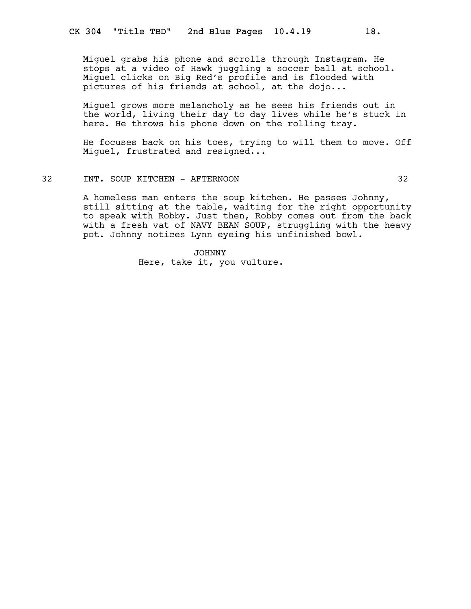Miguel grabs his phone and scrolls through Instagram. He stops at a video of Hawk juggling a soccer ball at school. Miguel clicks on Big Red's profile and is flooded with pictures of his friends at school, at the dojo...

Miguel grows more melancholy as he sees his friends out in the world, living their day to day lives while he's stuck in here. He throws his phone down on the rolling tray.

He focuses back on his toes, trying to will them to move. Off Miguel, frustrated and resigned...

# 32 INT. SOUP KITCHEN - AFTERNOON 32

A homeless man enters the soup kitchen. He passes Johnny, still sitting at the table, waiting for the right opportunity to speak with Robby. Just then, Robby comes out from the back with a fresh vat of NAVY BEAN SOUP, struggling with the heavy pot. Johnny notices Lynn eyeing his unfinished bowl.

> JOHNNY Here, take it, you vulture.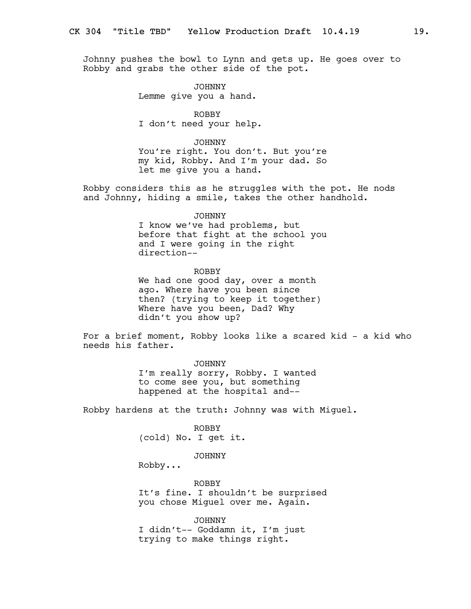Johnny pushes the bowl to Lynn and gets up. He goes over to Robby and grabs the other side of the pot.

> JOHNNY Lemme give you a hand.

ROBBY I don't need your help.

JOHNNY You're right. You don't. But you're my kid, Robby. And I'm your dad. So let me give you a hand.

Robby considers this as he struggles with the pot. He nods and Johnny, hiding a smile, takes the other handhold.

#### JOHNNY

I know we've had problems, but before that fight at the school you and I were going in the right direction--

ROBBY We had one good day, over a month ago. Where have you been since then? (trying to keep it together) Where have you been, Dad? Why didn't you show up?

For a brief moment, Robby looks like a scared kid - a kid who needs his father.

JOHNNY

I'm really sorry, Robby. I wanted to come see you, but something happened at the hospital and--

Robby hardens at the truth: Johnny was with Miguel.

ROBBY (cold) No. I get it.

JOHNNY

Robby...

ROBBY It's fine. I shouldn't be surprised you chose Miguel over me. Again.

JOHNNY I didn't-- Goddamn it, I'm just trying to make things right.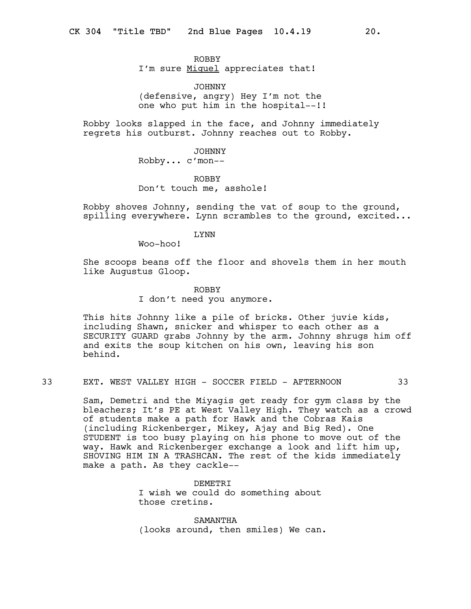ROBBY I'm sure Miguel appreciates that!

JOHNNY (defensive, angry) Hey I'm not the one who put him in the hospital--!!

Robby looks slapped in the face, and Johnny immediately regrets his outburst. Johnny reaches out to Robby.

JOHNNY

Robby... c'mon--

ROBBY Don't touch me, asshole!

Robby shoves Johnny, sending the vat of soup to the ground, spilling everywhere. Lynn scrambles to the ground, excited...

# LYNN

Woo-hoo!

She scoops beans off the floor and shovels them in her mouth like Augustus Gloop.

#### ROBBY

I don't need you anymore.

This hits Johnny like a pile of bricks. Other juvie kids, including Shawn, snicker and whisper to each other as a SECURITY GUARD grabs Johnny by the arm. Johnny shrugs him off and exits the soup kitchen on his own, leaving his son behind.

33 EXT. WEST VALLEY HIGH - SOCCER FIELD - AFTERNOON 33

Sam, Demetri and the Miyagis get ready for gym class by the bleachers; It's PE at West Valley High. They watch as a crowd of students make a path for Hawk and the Cobras Kais (including Rickenberger, Mikey, Ajay and Big Red). One STUDENT is too busy playing on his phone to move out of the way. Hawk and Rickenberger exchange a look and lift him up, SHOVING HIM IN A TRASHCAN. The rest of the kids immediately make a path. As they cackle--

> DEMETRI I wish we could do something about those cretins.

SAMANTHA (looks around, then smiles) We can.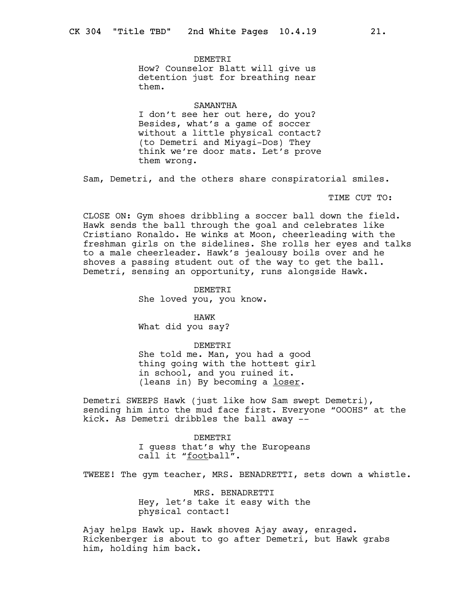DEMETRI How? Counselor Blatt will give us detention just for breathing near them.

#### SAMANTHA

I don't see her out here, do you? Besides, what's a game of soccer without a little physical contact? (to Demetri and Miyagi-Dos) They think we're door mats. Let's prove them wrong.

Sam, Demetri, and the others share conspiratorial smiles.

TIME CUT TO:

CLOSE ON: Gym shoes dribbling a soccer ball down the field. Hawk sends the ball through the goal and celebrates like Cristiano Ronaldo. He winks at Moon, cheerleading with the freshman girls on the sidelines. She rolls her eyes and talks to a male cheerleader. Hawk's jealousy boils over and he shoves a passing student out of the way to get the ball. Demetri, sensing an opportunity, runs alongside Hawk.

> DEMETRI She loved you, you know.

HAWK What did you say?

DEMETRI She told me. Man, you had a good thing going with the hottest girl in school, and you ruined it. (leans in) By becoming a loser.

Demetri SWEEPS Hawk (just like how Sam swept Demetri), sending him into the mud face first. Everyone "OOOHS" at the kick. As Demetri dribbles the ball away --

> DEMETRI I guess that's why the Europeans call it "football".

TWEEE! The gym teacher, MRS. BENADRETTI, sets down a whistle.

MRS. BENADRETTI Hey, let's take it easy with the physical contact!

Ajay helps Hawk up. Hawk shoves Ajay away, enraged. Rickenberger is about to go after Demetri, but Hawk grabs him, holding him back.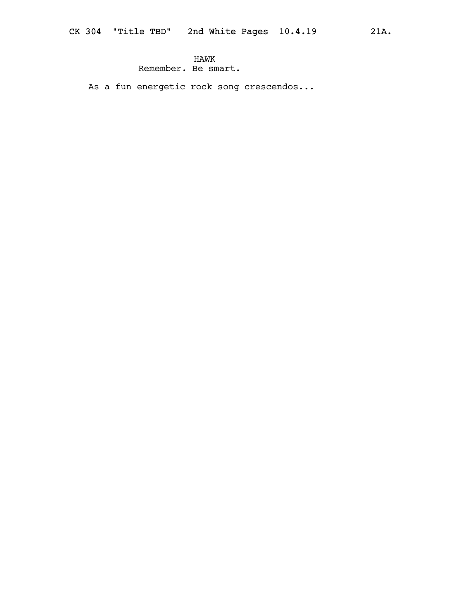# HAWK Remember. Be smart.

As a fun energetic rock song crescendos...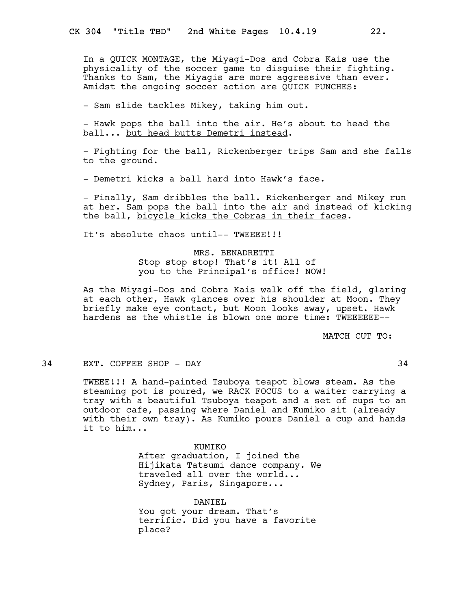In a QUICK MONTAGE, the Miyagi-Dos and Cobra Kais use the physicality of the soccer game to disguise their fighting. Thanks to Sam, the Miyagis are more aggressive than ever. Amidst the ongoing soccer action are QUICK PUNCHES:

- Sam slide tackles Mikey, taking him out.

- Hawk pops the ball into the air. He's about to head the ball... but head butts Demetri instead.

- Fighting for the ball, Rickenberger trips Sam and she falls to the ground.

- Demetri kicks a ball hard into Hawk's face.

- Finally, Sam dribbles the ball. Rickenberger and Mikey run at her. Sam pops the ball into the air and instead of kicking the ball, bicycle kicks the Cobras in their faces.

It's absolute chaos until-- TWEEEE! !!

# MRS. BENADRETTI

Stop stop stop! That's it! All of you to the Principal's office! NOW!

As the Miyagi-Dos and Cobra Kais walk off the field, glaring at each other, Hawk glances over his shoulder at Moon. They briefly make eye contact, but Moon looks away, upset. Hawk hardens as the whistle is blown one more time: TWEEEEEE--

MATCH CUT TO:

#### 34 EXT. COFFEE SHOP - DAY 34

TWEEE!!! A hand-painted Tsuboya teapot blows steam. As the steaming pot is poured, we RACK FOCUS to a waiter carrying a tray with a beautiful Tsuboya teapot and a set of cups to an outdoor cafe, passing where Daniel and Kumiko sit (already with their own tray). As Kumiko pours Daniel a cup and hands it to him...

> KUMIKO After graduation, I joined the Hijikata Tatsumi dance company. We traveled all over the world... Sydney, Paris, Singapore...

DANIEL You got your dream. That's terrific. Did you have a favorite place?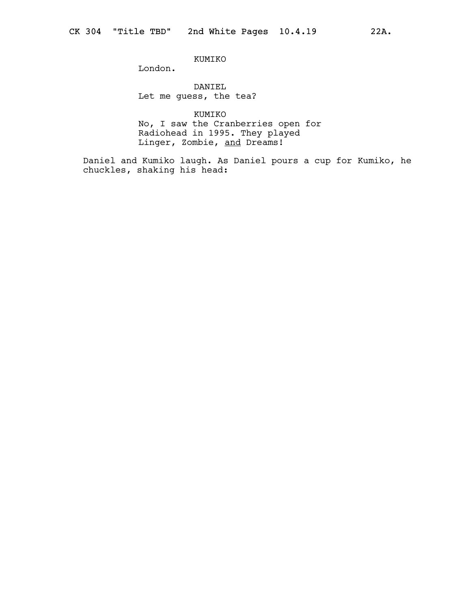KUMIKO

London.

DANIEL Let me guess, the tea?

KUMIKO No, I saw the Cranberries open for Radiohead in 1995. They played Linger, Zombie, <u>and</u> Dreams!

Daniel and Kumiko laugh. As Daniel pours a cup for Kumiko, he chuckles, shaking his head: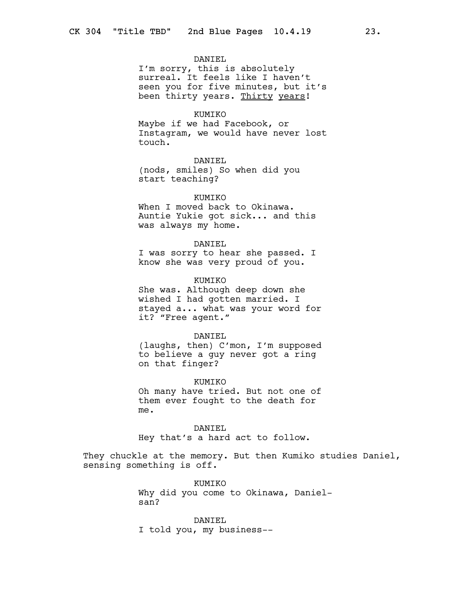## DANIEL

I'm sorry, this is absolutely surreal. It feels like I haven't seen you for five minutes, but it's been thirty years. Thirty years!

#### KUMIKO

Maybe if we had Facebook, or Instagram, we would have never lost touch.

## DANIEL

(nods, smiles) So when did you start teaching?

## **KUMTKO**

When I moved back to Okinawa. Auntie Yukie got sick... and this was always my home.

#### DANIEL

I was sorry to hear she passed. I know she was very proud of you.

#### KUMIKO

She was. Although deep down she wished I had gotten married. I stayed a... what was your word for it? "Free agent."

## DANIEL

(laughs, then) C'mon, I'm supposed to believe a guy never got a ring on that finger?

#### KUMIKO

Oh many have tried. But not one of them ever fought to the death for me.

DANIEL Hey that's a hard act to follow.

They chuckle at the memory. But then Kumiko studies Daniel, sensing something is off.

> KUMIKO Why did you come to Okinawa, Danielsan?

DANIEL I told you, my business--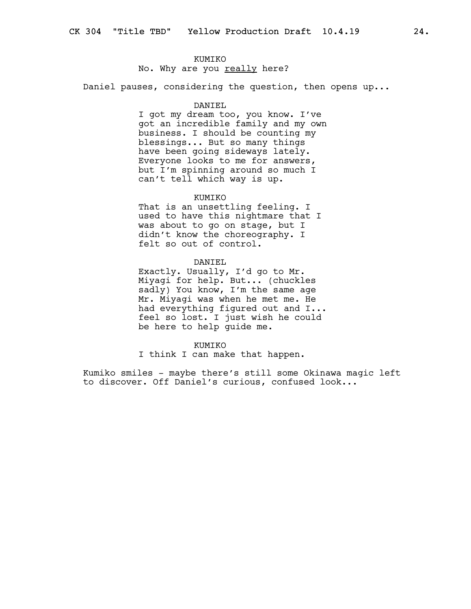## KUMIKO

# No. Why are you really here?

Daniel pauses, considering the question, then opens up...

### DANIEL

I got my dream too, you know. I've got an incredible family and my own business. I should be counting my blessings... But so many things have been going sideways lately. Everyone looks to me for answers, but I'm spinning around so much I can't tell which way is up.

## **KUMTKO**

That is an unsettling feeling. I used to have this nightmare that I was about to go on stage, but I didn't know the choreography. I felt so out of control.

## DANIEL

Exactly. Usually, I'd go to Mr. Miyagi for help. But... (chuckles sadly) You know, I'm the same age Mr. Miyagi was when he met me. He had everything figured out and I... feel so lost. I just wish he could be here to help guide me.

#### KUMIKO

I think I can make that happen.

Kumiko smiles - maybe there's still some Okinawa magic left to discover. Off Daniel's curious, confused look...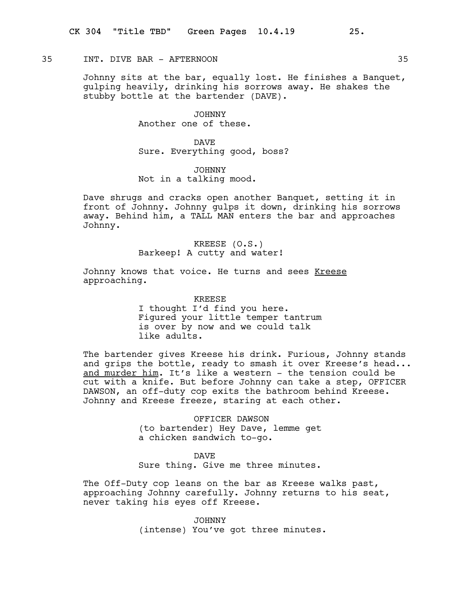## 35 INT. DIVE BAR - AFTERNOON 35

Johnny sits at the bar, equally lost. He finishes a Banquet, gulping heavily, drinking his sorrows away. He shakes the stubby bottle at the bartender (DAVE).

> JOHNNY Another one of these.

DAVE Sure. Everything good, boss?

JOHNNY Not in a talking mood.

Dave shrugs and cracks open another Banquet, setting it in front of Johnny. Johnny gulps it down, drinking his sorrows away. Behind him, a TALL MAN enters the bar and approaches Johnny.

> KREESE (O.S.) Barkeep! A cutty and water!

Johnny knows that voice. He turns and sees Kreese approaching.

> KREESE I thought I'd find you here. Figured your little temper tantrum is over by now and we could talk like adults.

The bartender gives Kreese his drink. Furious, Johnny stands and grips the bottle, ready to smash it over Kreese's head... and murder him. It's like a western - the tension could be cut with a knife. But before Johnny can take a step, OFFICER DAWSON, an off-duty cop exits the bathroom behind Kreese. Johnny and Kreese freeze, staring at each other.

> OFFICER DAWSON (to bartender) Hey Dave, lemme get a chicken sandwich to-go.

# DAVE

Sure thing. Give me three minutes.

The Off-Duty cop leans on the bar as Kreese walks past, approaching Johnny carefully. Johnny returns to his seat, never taking his eyes off Kreese.

> JOHNNY (intense) You've got three minutes.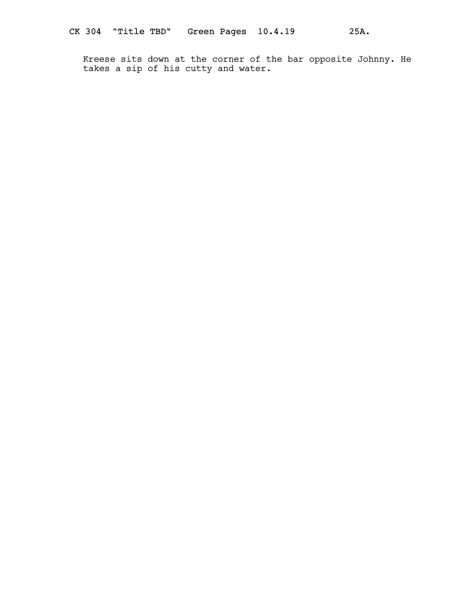Kreese sits down at the corner of the bar opposite Johnny. He takes a sip of his cutty and water.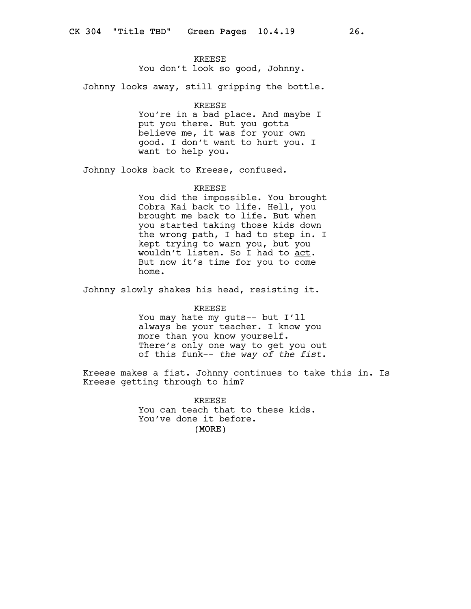## KREESE

You don't look so good, Johnny.

Johnny looks away, still gripping the bottle.

#### KREESE

You're in a bad place. And maybe I put you there. But you gotta believe me, it was for your own good. I don't want to hurt you. I want to help you.

Johnny looks back to Kreese, confused.

#### KREESE

You did the impossible. You brought Cobra Kai back to life. Hell, you brought me back to life. But when you started taking those kids down the wrong path, I had to step in. I kept trying to warn you, but you wouldn't listen. So I had to act. But now it's time for you to come home.

Johnny slowly shakes his head, resisting it.

#### KREESE

You may hate my guts-- but I'll always be your teacher. I know you more than you know yourself. There's only one way to get you out of this funk-- the way of the fist.

Kreese makes a fist. Johnny continues to take this in. Is Kreese getting through to him?

> (MORE) KREESE You can teach that to these kids. You've done it before.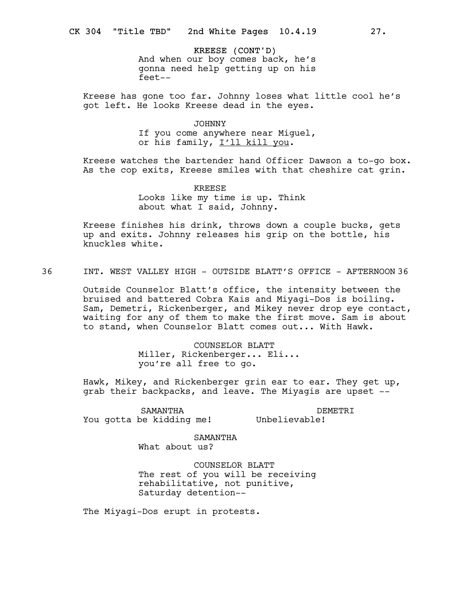KREESE (CONT'D) And when our boy comes back, he's gonna need help getting up on his feet--

Kreese has gone too far. Johnny loses what little cool he's got left. He looks Kreese dead in the eyes.

## JOHNNY

If you come anywhere near Miguel, or his family, I'll kill you.

Kreese watches the bartender hand Officer Dawson a to-go box. As the cop exits, Kreese smiles with that cheshire cat grin.

> KREESE Looks like my time is up. Think about what I said, Johnny.

Kreese finishes his drink, throws down a couple bucks, gets up and exits. Johnny releases his grip on the bottle, his knuckles white.

36 INT. WEST VALLEY HIGH - OUTSIDE BLATT'S OFFICE - AFTERNOON 36

Outside Counselor Blatt's office, the intensity between the bruised and battered Cobra Kais and Miyagi-Dos is boiling. Sam, Demetri, Rickenberger, and Mikey never drop eye contact, waiting for any of them to make the first move. Sam is about to stand, when Counselor Blatt comes out... With Hawk.

> COUNSELOR BLATT Miller, Rickenberger... Eli... you're all free to go.

Hawk, Mikey, and Rickenberger grin ear to ear. They get up, grab their backpacks, and leave. The Miyagis are upset --

SAMANTHA You gotta be kidding me!

DEMETRI Unbelievable!

SAMANTHA What about us?

COUNSELOR BLATT The rest of you will be receiving rehabilitative, not punitive, Saturday detention--

The Miyagi-Dos erupt in protests.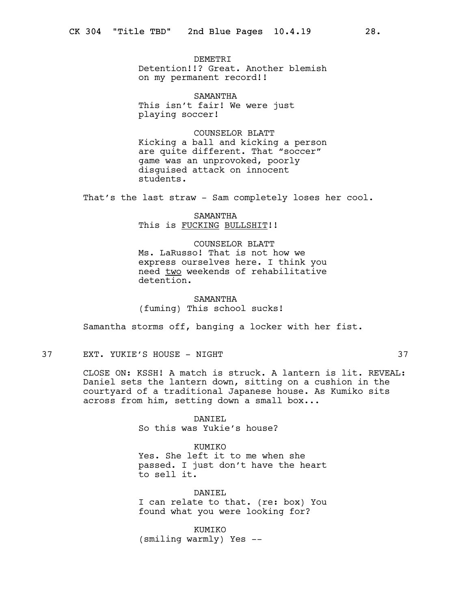DEMETRI Detention!!? Great. Another blemish on my permanent record!!

SAMANTHA This isn't fair! We were just playing soccer!

COUNSELOR BLATT Kicking a ball and kicking a person are quite different. That "soccer" game was an unprovoked, poorly disguised attack on innocent students.

That's the last straw - Sam completely loses her cool.

SAMANTHA This is FUCKING BULLSHIT!!

COUNSELOR BLATT Ms. LaRusso! That is not how we express ourselves here. I think you need two weekends of rehabilitative detention.

SAMANTHA (fuming) This school sucks!

Samantha storms off, banging a locker with her fist.

37 EXT. YUKIE'S HOUSE - NIGHT 37

CLOSE ON: KSSH! A match is struck. A lantern is lit. REVEAL: Daniel sets the lantern down, sitting on a cushion in the courtyard of a traditional Japanese house. As Kumiko sits across from him, setting down a small box...

> DANIEL So this was Yukie's house?

KUMIKO Yes. She left it to me when she passed. I just don't have the heart to sell it.

DANIEL I can relate to that. (re: box) You found what you were looking for?

KUMIKO (smiling warmly) Yes --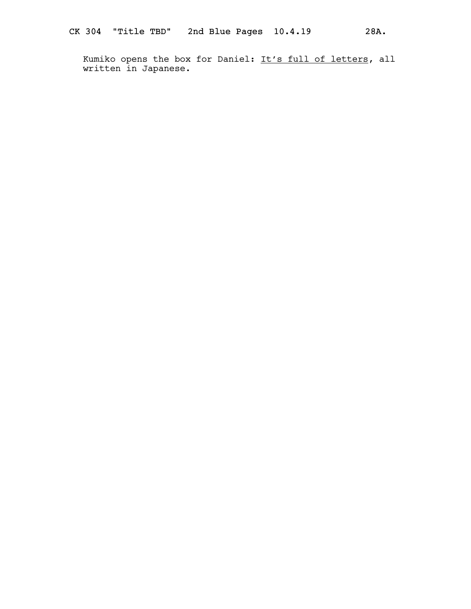Kumiko opens the box for Daniel: It's full of letters, all written in Japanese.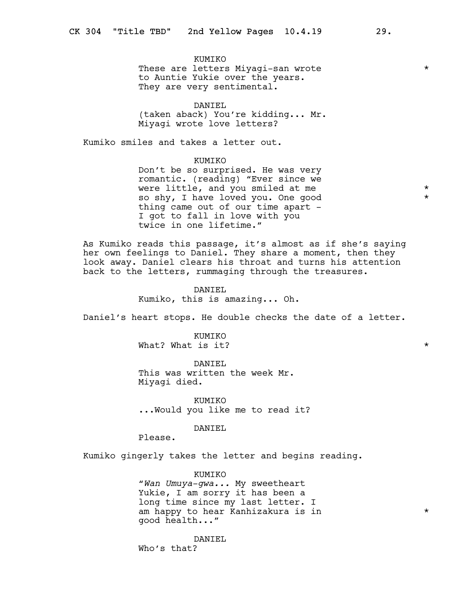KUMIKO These are letters Miyaqi-san wrote  $*$ to Auntie Yukie over the years. They are very sentimental.

DANIEL (taken aback) You're kidding... Mr. Miyagi wrote love letters?

Kumiko smiles and takes a letter out.

KUMIKO

Don't be so surprised. He was very romantic. (reading) "Ever since we were little, and you smiled at me so shy, I have loved you. One good  $*$ thing came out of our time apart -I got to fall in love with you twice in one lifetime."

As Kumiko reads this passage, it's almost as if she's saying her own feelings to Daniel. They share a moment, then they look away. Daniel clears his throat and turns his attention back to the letters, rummaging through the treasures.

> DANIEL Kumiko, this is amazing... Oh.

Daniel's heart stops. He double checks the date of a letter.

**KUMTKO** What? What is it?  $\star$ 

DANIEL This was written the week Mr. Miyagi died.

KUMIKO ...Would you like me to read it?

DANIEL

Please.

Kumiko gingerly takes the letter and begins reading.

KUMIKO "Wan Umuya-qwa... My sweetheart Yukie, I am sorry it has been a long time since my last letter. I am happy to hear Kanhizakura is in  $*$ good health..."

DANTEL. Who's that?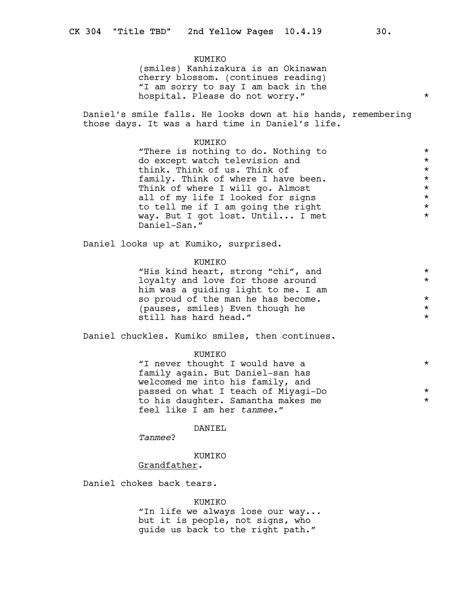# KUMIKO (smiles) Kanhizakura is an Okinawan cherry blossom. (continues reading) "I am sorry to say I am back in the hospital. Please do not worry."

Daniel's smile falls. He looks down at his hands, remembering those days. It was a hard time in Daniel's life.

# KUMIKO "There is nothing to do. Nothing to  $*$ <br>do exact witch tolevision and  $*$ do except watch television and  $\star$ <br>think. Think of us. Think of  $\star$ think. Think of us. Think of  $\star$ <br>family. Think of where I have been.  $\star$ family. Think of where I have been.<br>Think of where I will go, Almost Think of where I will go. Almost \* all of my life I looked for signs<br>
to tell me if I am going the right<br>
\* to tell me if I am going the right<br>way. But I got lost. Until... I met \* \* \* way. But I got lost. Until... I met \* Daniel-San."

Daniel looks up at Kumiko, surprised.

## KUMIKO

| "His kind heart, strong "chi", and  | $\star$ |
|-------------------------------------|---------|
| loyalty and love for those around   | $\star$ |
| him was a quiding light to me. I am |         |
| so proud of the man he has become.  | $\star$ |
| (pauses, smiles) Even though he     | $\star$ |
| still has hard head."               | $\star$ |

Daniel chuckles. Kumiko smiles, then continues.

## KUMIKO

| "I never thought I would have a     | $\star$ |
|-------------------------------------|---------|
| family again. But Daniel-san has    |         |
| welcomed me into his family, and    |         |
| passed on what I teach of Miyaqi-Do | $\star$ |
| to his daughter. Samantha makes me  | $\star$ |
| feel like I am her tanmee."         |         |

## DANIEL

Tanmee?

## KUMIKO

# Grandfather.

Daniel chokes back tears.

### KUMIKO

"In life we always lose our way... but it is people, not signs, who guide us back to the right path."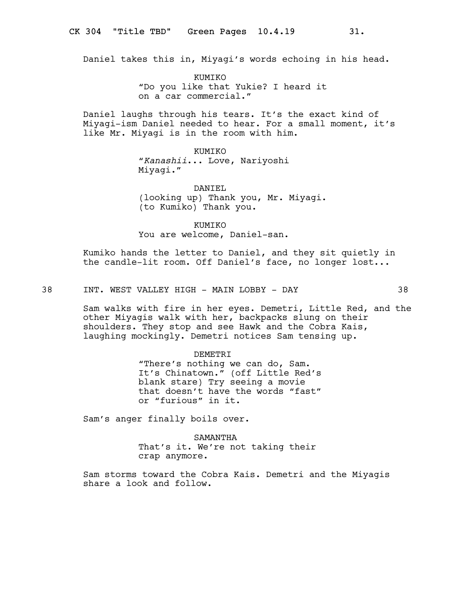Daniel takes this in, Miyagi's words echoing in his head.

KUMIKO "Do you like that Yukie? I heard it on a car commercial."

Daniel laughs through his tears. It's the exact kind of Miyagi-ism Daniel needed to hear. For a small moment, it's like Mr. Miyagi is in the room with him.

> KUMIKO "Kanashii... Love, Nariyoshi Miyagi."

DANIEL (looking up) Thank you, Mr. Miyagi. (to Kumiko) Thank you.

KUMIKO You are welcome, Daniel-san.

Kumiko hands the letter to Daniel, and they sit quietly in the candle-lit room. Off Daniel's face, no longer lost...

38 INT. WEST VALLEY HIGH - MAIN LOBBY - DAY 38

Sam walks with fire in her eyes. Demetri, Little Red, and the other Miyagis walk with her, backpacks slung on their shoulders. They stop and see Hawk and the Cobra Kais, laughing mockingly. Demetri notices Sam tensing up.

DEMETRI

"There's nothing we can do, Sam. It's Chinatown." (off Little Red's blank stare) Try seeing a movie that doesn't have the words "fast" or "furious" in it.

Sam's anger finally boils over.

SAMANTHA That's it. We're not taking their crap anymore.

Sam storms toward the Cobra Kais. Demetri and the Miyagis share a look and follow.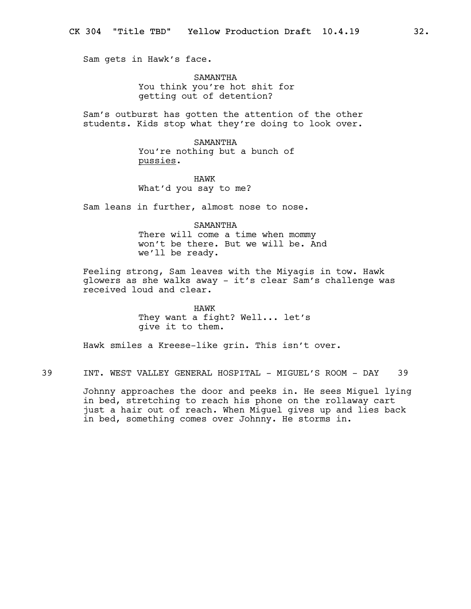Sam gets in Hawk's face.

SAMANTHA You think you're hot shit for getting out of detention?

Sam's outburst has gotten the attention of the other students. Kids stop what they're doing to look over.

> SAMANTHA You're nothing but a bunch of pussies.

HAWK What'd you say to me?

Sam leans in further, almost nose to nose.

SAMANTHA There will come a time when mommy won't be there. But we will be. And we'll be ready.

Feeling strong, Sam leaves with the Miyagis in tow. Hawk glowers as she walks away - it's clear Sam's challenge was received loud and clear.

> HAWK They want a fight? Well... let's give it to them.

Hawk smiles a Kreese-like grin. This isn't over.

39 INT. WEST VALLEY GENERAL HOSPITAL - MIGUEL'S ROOM - DAY 39

Johnny approaches the door and peeks in. He sees Miguel lying in bed, stretching to reach his phone on the rollaway cart just a hair out of reach. When Miguel gives up and lies back in bed, something comes over Johnny. He storms in.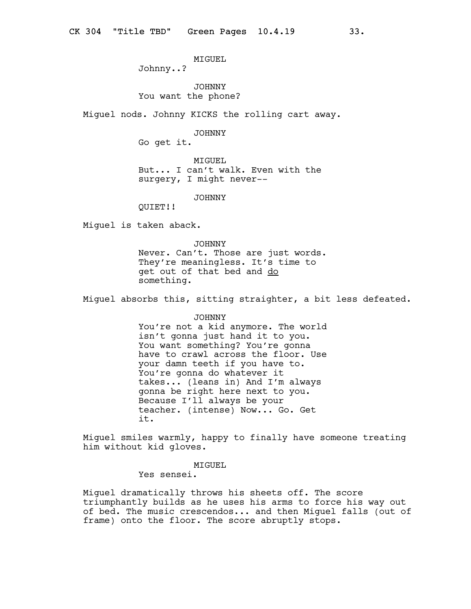MIGUEL

Johnny..?

JOHNNY You want the phone?

Miguel nods. Johnny KICKS the rolling cart away.

JOHNNY

Go get it.

MIGUEL But... I can't walk. Even with the surgery, I might never--

JOHNNY

QUIET!!

Miguel is taken aback.

JOHNNY Never. Can't. Those are just words. They're meaningless. It's time to get out of that bed and do something.

Miguel absorbs this, sitting straighter, a bit less defeated.

## JOHNNY

You're not a kid anymore. The world isn't gonna just hand it to you. You want something? You're gonna have to crawl across the floor. Use your damn teeth if you have to. You're gonna do whatever it takes... (leans in) And I'm always gonna be right here next to you. Because I'll always be your teacher. (intense) Now... Go. Get it.

Miguel smiles warmly, happy to finally have someone treating him without kid gloves.

MIGUEL

Yes sensei.

Miguel dramatically throws his sheets off. The score triumphantly builds as he uses his arms to force his way out of bed. The music crescendos... and then Miguel falls (out of frame) onto the floor. The score abruptly stops.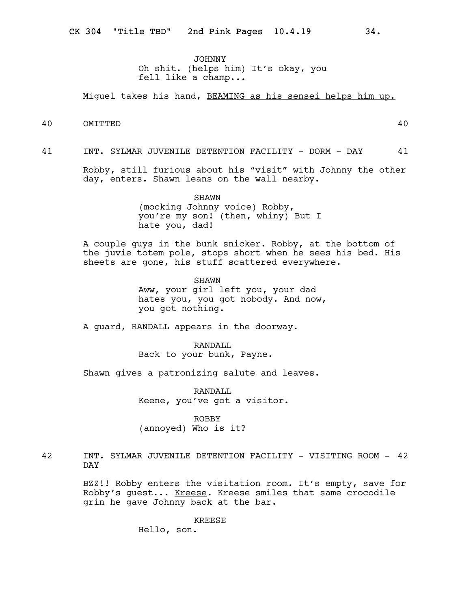JOHNNY Oh shit. (helps him) It's okay, you fell like a champ...

Miguel takes his hand, BEAMING as his sensei helps him up.

40 OMITTED 40

41 INT. SYLMAR JUVENILE DETENTION FACILITY - DORM - DAY 41

Robby, still furious about his "visit" with Johnny the other day, enters. Shawn leans on the wall nearby.

> SHAWN (mocking Johnny voice) Robby, you're my son! (then, whiny) But I hate you, dad!

A couple guys in the bunk snicker. Robby, at the bottom of the juvie totem pole, stops short when he sees his bed. His sheets are gone, his stuff scattered everywhere.

> SHAWN Aww, your girl left you, your dad hates you, you got nobody. And now, you got nothing.

A guard, RANDALL appears in the doorway.

RANDALL Back to your bunk, Payne.

Shawn gives a patronizing salute and leaves.

RANDALL Keene, you've got a visitor.

ROBBY (annoyed) Who is it?

42 INT. SYLMAR JUVENILE DETENTION FACILITY - VISITING ROOM - 42 DAY

> BZZ!! Robby enters the visitation room. It's empty, save for Robby's guest... Kreese. Kreese smiles that same crocodile grin he gave Johnny back at the bar.

> > KREESE

Hello, son.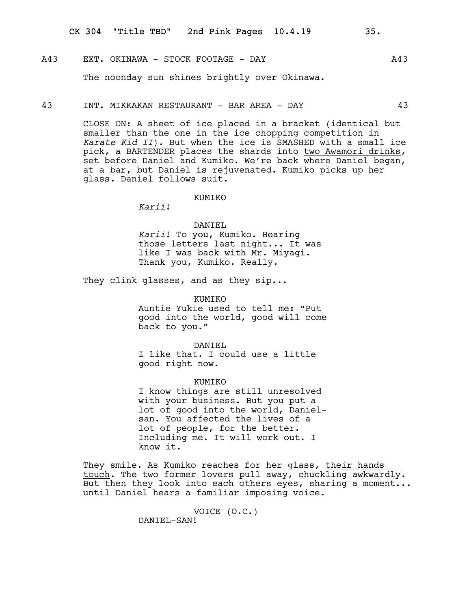## A43 EXT. OKINAWA - STOCK FOOTAGE - DAY A43

The noonday sun shines brightly over Okinawa.

#### 43 INT. MIKKAKAN RESTAURANT - BAR AREA - DAY 43

CLOSE ON: A sheet of ice placed in a bracket (identical but smaller than the one in the ice chopping competition in Karate Kid II). But when the ice is SMASHED with a small ice pick, a BARTENDER places the shards into two Awamori drinks, set before Daniel and Kumiko. We're back where Daniel began, at a bar, but Daniel is rejuvenated. Kumiko picks up her glass. Daniel follows suit.

#### KUMIKO

Karii!

#### DANIEL

Karii! To you, Kumiko. Hearing those letters last night... It was like I was back with Mr. Miyagi. Thank you, Kumiko. Really.

They clink glasses, and as they sip...

KUMIKO Auntie Yukie used to tell me: "Put good into the world, good will come back to you."

DANIEL I like that. I could use a little good right now.

#### KUMIKO

I know things are still unresolved with your business. But you put a lot of good into the world, Danielsan. You affected the lives of a lot of people, for the better. Including me. It will work out. I know it.

They smile. As Kumiko reaches for her glass, their hands touch. The two former lovers pull away, chuckling awkwardly. But then they look into each others eyes, sharing a moment... until Daniel hears a familiar imposing voice.

VOICE (O.C.)

DANIEL-SAN!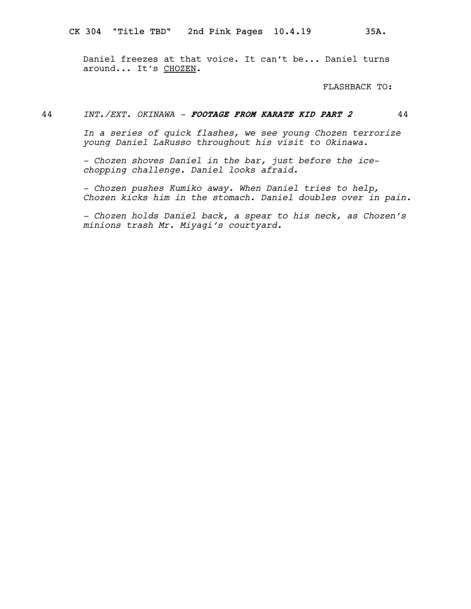Daniel freezes at that voice. It can't be... Daniel turns around... It's CHOZEN.

FLASHBACK TO:

# 44 INT./EXT. OKINAWA - FOOTAGE FROM KARATE KID PART 2 44

In a series of quick flashes, we see young Chozen terrorize young Daniel LaRusso throughout his visit to Okinawa.

- Chozen shoves Daniel in the bar, just before the icechopping challenge. Daniel looks afraid.

- Chozen pushes Kumiko away. When Daniel tries to help, Chozen kicks him in the stomach. Daniel doubles over in pain.

- Chozen holds Daniel back, a spear to his neck, as Chozen's minions trash Mr. Miyagi's courtyard.